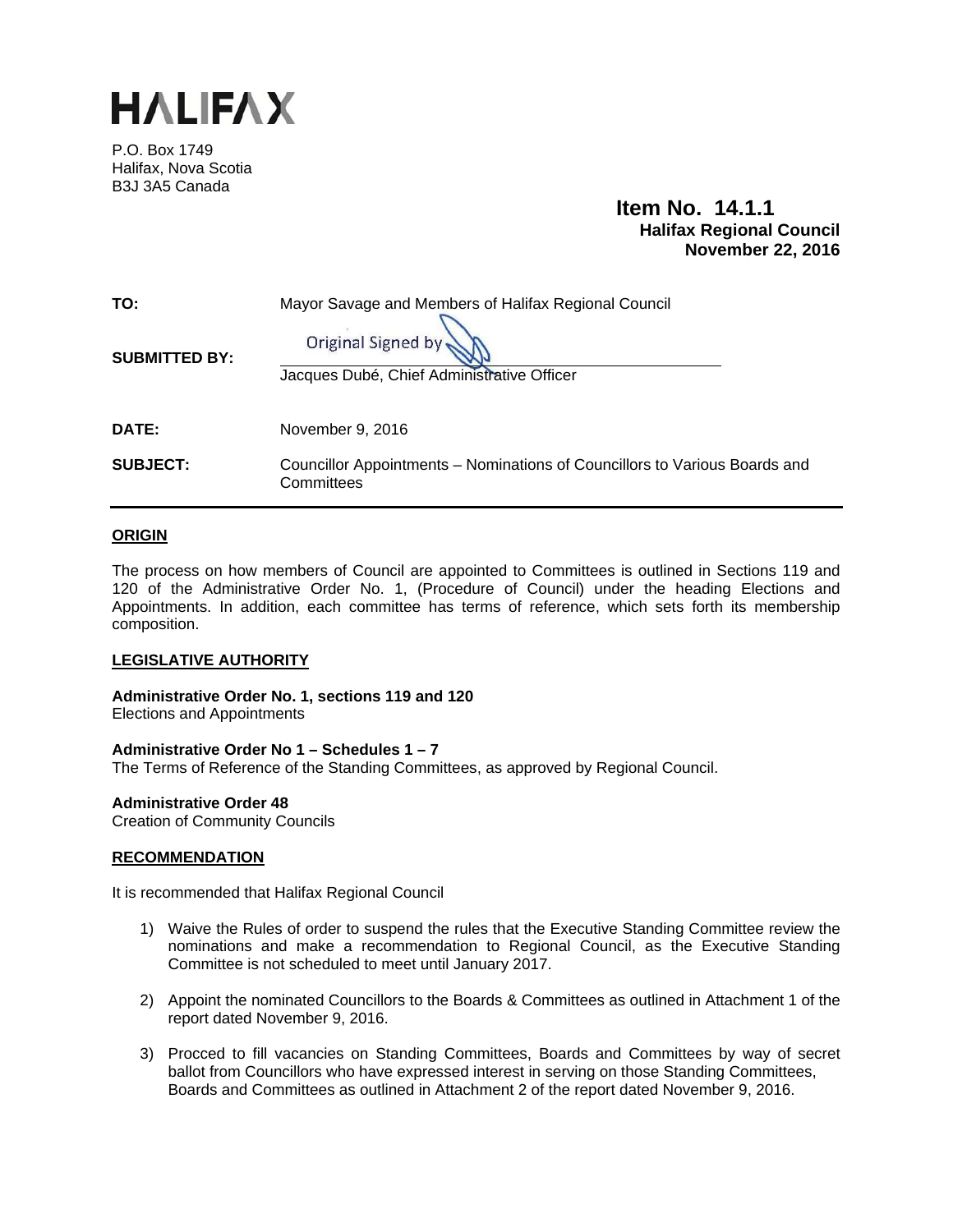

P.O. Box 1749 Halifax, Nova Scotia B3J 3A5 Canada

> **Item No. 14.1.1 Halifax Regional Council November 22, 2016**

| TO:                  | Mayor Savage and Members of Halifax Regional Council                                     |  |  |  |  |  |
|----------------------|------------------------------------------------------------------------------------------|--|--|--|--|--|
| <b>SUBMITTED BY:</b> | Original Signed by                                                                       |  |  |  |  |  |
|                      | Jacques Dubé, Chief Administrative Officer                                               |  |  |  |  |  |
| <b>DATE:</b>         | November 9, 2016                                                                         |  |  |  |  |  |
| <b>SUBJECT:</b>      | Councillor Appointments – Nominations of Councillors to Various Boards and<br>Committees |  |  |  |  |  |

#### **ORIGIN**

The process on how members of Council are appointed to Committees is outlined in Sections 119 and 120 of the Administrative Order No. 1, (Procedure of Council) under the heading Elections and Appointments. In addition, each committee has terms of reference, which sets forth its membership composition.

#### **LEGISLATIVE AUTHORITY**

**Administrative Order No. 1, sections 119 and 120**  Elections and Appointments

#### **Administrative Order No 1 – Schedules 1 – 7**

The Terms of Reference of the Standing Committees, as approved by Regional Council.

#### **Administrative Order 48**

Creation of Community Councils

#### **RECOMMENDATION**

It is recommended that Halifax Regional Council

- 1) Waive the Rules of order to suspend the rules that the Executive Standing Committee review the nominations and make a recommendation to Regional Council, as the Executive Standing Committee is not scheduled to meet until January 2017.
- 2) Appoint the nominated Councillors to the Boards & Committees as outlined in Attachment 1 of the report dated November 9, 2016.
- 3) Procced to fill vacancies on Standing Committees, Boards and Committees by way of secret ballot from Councillors who have expressed interest in serving on those Standing Committees, Boards and Committees as outlined in Attachment 2 of the report dated November 9, 2016.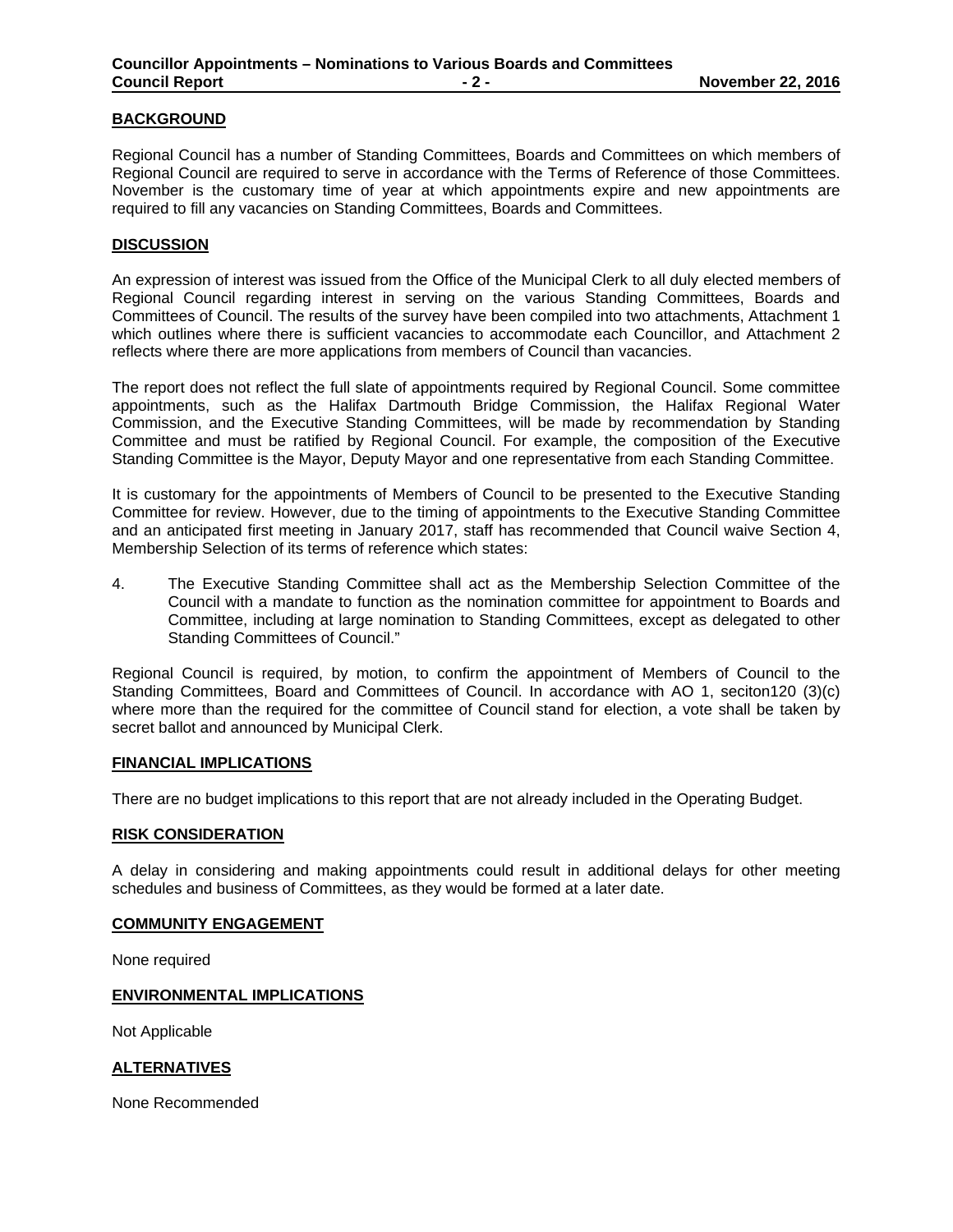#### **BACKGROUND**

Regional Council has a number of Standing Committees, Boards and Committees on which members of Regional Council are required to serve in accordance with the Terms of Reference of those Committees. November is the customary time of year at which appointments expire and new appointments are required to fill any vacancies on Standing Committees, Boards and Committees.

#### **DISCUSSION**

An expression of interest was issued from the Office of the Municipal Clerk to all duly elected members of Regional Council regarding interest in serving on the various Standing Committees, Boards and Committees of Council. The results of the survey have been compiled into two attachments, Attachment 1 which outlines where there is sufficient vacancies to accommodate each Councillor, and Attachment 2 reflects where there are more applications from members of Council than vacancies.

The report does not reflect the full slate of appointments required by Regional Council. Some committee appointments, such as the Halifax Dartmouth Bridge Commission, the Halifax Regional Water Commission, and the Executive Standing Committees, will be made by recommendation by Standing Committee and must be ratified by Regional Council. For example, the composition of the Executive Standing Committee is the Mayor, Deputy Mayor and one representative from each Standing Committee.

It is customary for the appointments of Members of Council to be presented to the Executive Standing Committee for review. However, due to the timing of appointments to the Executive Standing Committee and an anticipated first meeting in January 2017, staff has recommended that Council waive Section 4, Membership Selection of its terms of reference which states:

4. The Executive Standing Committee shall act as the Membership Selection Committee of the Council with a mandate to function as the nomination committee for appointment to Boards and Committee, including at large nomination to Standing Committees, except as delegated to other Standing Committees of Council."

Regional Council is required, by motion, to confirm the appointment of Members of Council to the Standing Committees, Board and Committees of Council. In accordance with AO 1, seciton120 (3)(c) where more than the required for the committee of Council stand for election, a vote shall be taken by secret ballot and announced by Municipal Clerk.

#### **FINANCIAL IMPLICATIONS**

There are no budget implications to this report that are not already included in the Operating Budget.

#### **RISK CONSIDERATION**

A delay in considering and making appointments could result in additional delays for other meeting schedules and business of Committees, as they would be formed at a later date.

#### **COMMUNITY ENGAGEMENT**

None required

#### **ENVIRONMENTAL IMPLICATIONS**

Not Applicable

#### **ALTERNATIVES**

None Recommended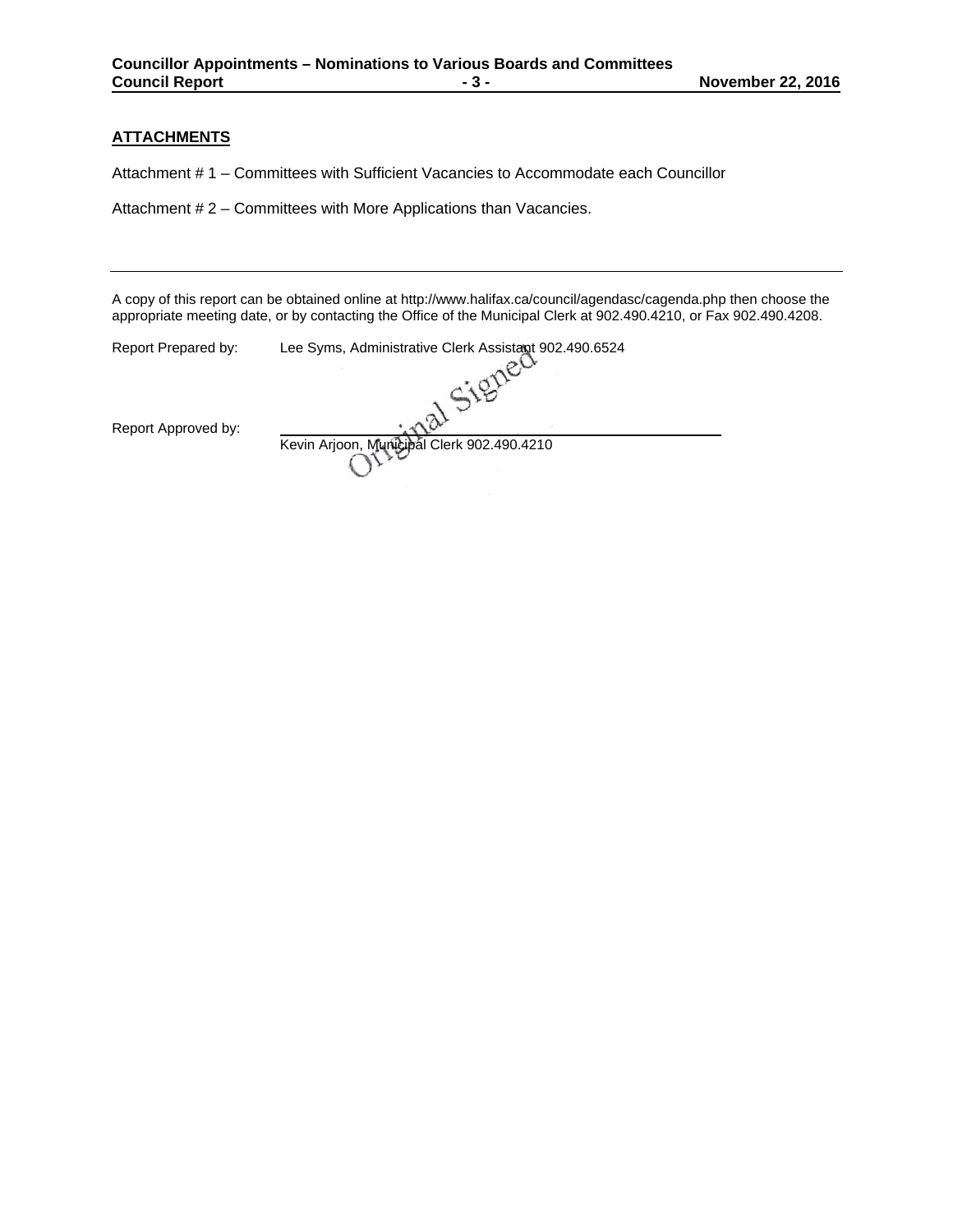#### **ATTACHMENTS**

Attachment # 1 – Committees with Sufficient Vacancies to Accommodate each Councillor

Attachment # 2 – Committees with More Applications than Vacancies.

A copy of this report can be obtained online at http://www.halifax.ca/council/agendasc/cagenda.php then choose the appropriate meeting date, or by contacting the Office of the Municipal Clerk at 902.490.4210, or Fax 902.490.4208.

| Report Prepared by: | Lee Syms, Administrative Clerk Assistant 902.490.6524 |  |
|---------------------|-------------------------------------------------------|--|
| Report Approved by: |                                                       |  |
|                     | Kevin Arjoon, Municipal Clerk 902.490.4210            |  |
|                     |                                                       |  |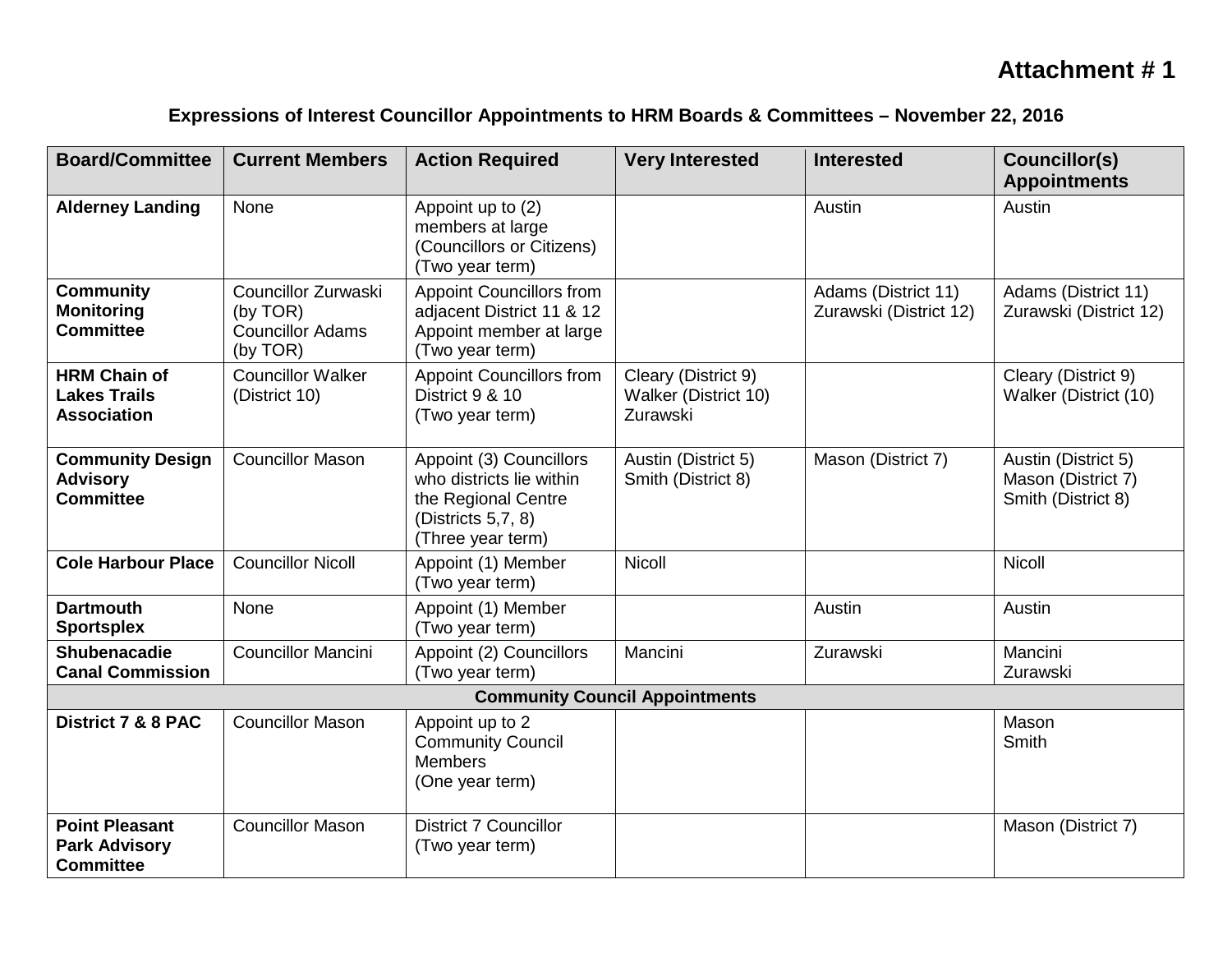## **Attachment # 1**

## **Expressions of Interest Councillor Appointments to HRM Boards & Committees – November 22, 2016**

| <b>Board/Committee</b>                                            | <b>Current Members</b>                                                 | <b>Action Required</b>                                                                                                | <b>Very Interested</b>                                  | <b>Interested</b>                             | Councillor(s)<br><b>Appointments</b>                            |  |
|-------------------------------------------------------------------|------------------------------------------------------------------------|-----------------------------------------------------------------------------------------------------------------------|---------------------------------------------------------|-----------------------------------------------|-----------------------------------------------------------------|--|
| <b>Alderney Landing</b>                                           | None                                                                   | Appoint up to (2)<br>members at large<br>(Councillors or Citizens)<br>(Two year term)                                 |                                                         | Austin                                        | Austin                                                          |  |
| <b>Community</b><br><b>Monitoring</b><br><b>Committee</b>         | Councillor Zurwaski<br>(by TOR)<br><b>Councillor Adams</b><br>(by TOR) | <b>Appoint Councillors from</b><br>adjacent District 11 & 12<br>Appoint member at large<br>(Two year term)            |                                                         | Adams (District 11)<br>Zurawski (District 12) | Adams (District 11)<br>Zurawski (District 12)                   |  |
| <b>HRM Chain of</b><br><b>Lakes Trails</b><br><b>Association</b>  | <b>Councillor Walker</b><br>(District 10)                              | <b>Appoint Councillors from</b><br>District 9 & 10<br>(Two year term)                                                 | Cleary (District 9)<br>Walker (District 10)<br>Zurawski |                                               | Cleary (District 9)<br>Walker (District (10)                    |  |
| <b>Community Design</b><br><b>Advisory</b><br><b>Committee</b>    | <b>Councillor Mason</b>                                                | Appoint (3) Councillors<br>who districts lie within<br>the Regional Centre<br>(Districts 5,7, 8)<br>(Three year term) | Austin (District 5)<br>Smith (District 8)               | Mason (District 7)                            | Austin (District 5)<br>Mason (District 7)<br>Smith (District 8) |  |
| <b>Cole Harbour Place</b>                                         | <b>Councillor Nicoll</b>                                               | Appoint (1) Member<br>(Two year term)                                                                                 | <b>Nicoll</b>                                           |                                               | <b>Nicoll</b>                                                   |  |
| <b>Dartmouth</b><br><b>Sportsplex</b>                             | None                                                                   | Appoint (1) Member<br>(Two year term)                                                                                 |                                                         | Austin                                        | Austin                                                          |  |
| <b>Shubenacadie</b><br><b>Canal Commission</b>                    | <b>Councillor Mancini</b>                                              | Appoint (2) Councillors<br>(Two year term)                                                                            | Mancini                                                 | Zurawski                                      | Mancini<br>Zurawski                                             |  |
| <b>Community Council Appointments</b>                             |                                                                        |                                                                                                                       |                                                         |                                               |                                                                 |  |
| District 7 & 8 PAC                                                | <b>Councillor Mason</b>                                                | Appoint up to 2<br><b>Community Council</b><br><b>Members</b><br>(One year term)                                      |                                                         |                                               | Mason<br>Smith                                                  |  |
| <b>Point Pleasant</b><br><b>Park Advisory</b><br><b>Committee</b> | <b>Councillor Mason</b>                                                | <b>District 7 Councillor</b><br>(Two year term)                                                                       |                                                         |                                               | Mason (District 7)                                              |  |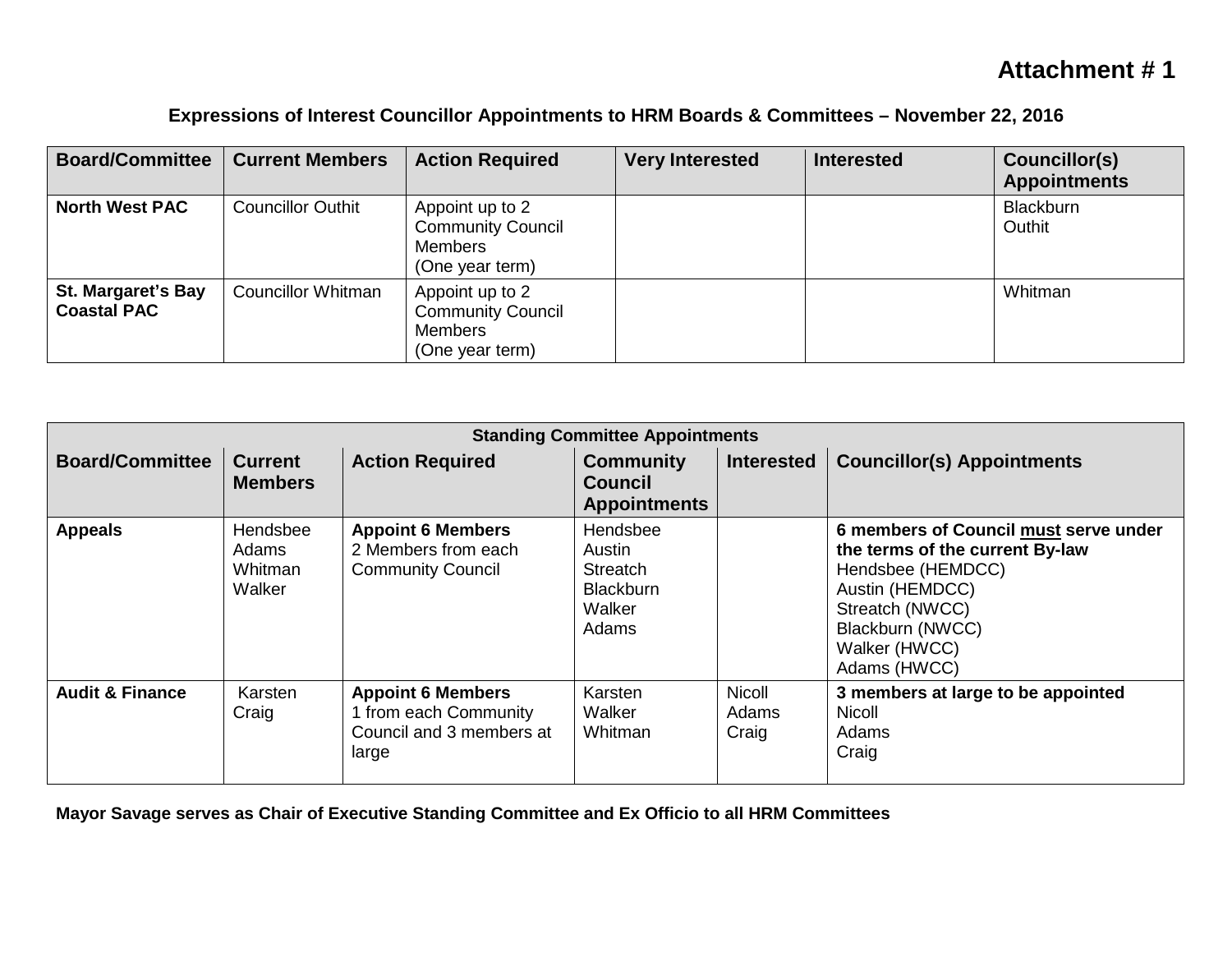## **Attachment # 1**

| <b>Board/Committee</b>                          | <b>Current Members</b>    | <b>Action Required</b>                                                           | <b>Very Interested</b> | <b>Interested</b> | Councillor(s)<br><b>Appointments</b> |
|-------------------------------------------------|---------------------------|----------------------------------------------------------------------------------|------------------------|-------------------|--------------------------------------|
| <b>North West PAC</b>                           | <b>Councillor Outhit</b>  | Appoint up to 2<br><b>Community Council</b><br><b>Members</b><br>(One year term) |                        |                   | Blackburn<br>Outhit                  |
| <b>St. Margaret's Bay</b><br><b>Coastal PAC</b> | <b>Councillor Whitman</b> | Appoint up to 2<br><b>Community Council</b><br><b>Members</b><br>(One year term) |                        |                   | Whitman                              |

## **Expressions of Interest Councillor Appointments to HRM Boards & Committees – November 22, 2016**

| <b>Standing Committee Appointments</b> |                                        |                                                                                      |                                                                              |                                 |                                                                                                                                                                                          |  |
|----------------------------------------|----------------------------------------|--------------------------------------------------------------------------------------|------------------------------------------------------------------------------|---------------------------------|------------------------------------------------------------------------------------------------------------------------------------------------------------------------------------------|--|
| <b>Board/Committee</b>                 | <b>Current</b><br><b>Members</b>       | <b>Action Required</b>                                                               | <b>Community</b><br><b>Council</b><br><b>Appointments</b>                    | <b>Interested</b>               | <b>Councillor(s) Appointments</b>                                                                                                                                                        |  |
| <b>Appeals</b>                         | Hendsbee<br>Adams<br>Whitman<br>Walker | <b>Appoint 6 Members</b><br>2 Members from each<br><b>Community Council</b>          | Hendsbee<br>Austin<br><b>Streatch</b><br><b>Blackburn</b><br>Walker<br>Adams |                                 | 6 members of Council must serve under<br>the terms of the current By-law<br>Hendsbee (HEMDCC)<br>Austin (HEMDCC)<br>Streatch (NWCC)<br>Blackburn (NWCC)<br>Walker (HWCC)<br>Adams (HWCC) |  |
| <b>Audit &amp; Finance</b>             | Karsten<br>Craig                       | <b>Appoint 6 Members</b><br>from each Community<br>Council and 3 members at<br>large | Karsten<br>Walker<br>Whitman                                                 | <b>Nicoll</b><br>Adams<br>Craig | 3 members at large to be appointed<br><b>Nicoll</b><br>Adams<br>Craig                                                                                                                    |  |

**Mayor Savage serves as Chair of Executive Standing Committee and Ex Officio to all HRM Committees**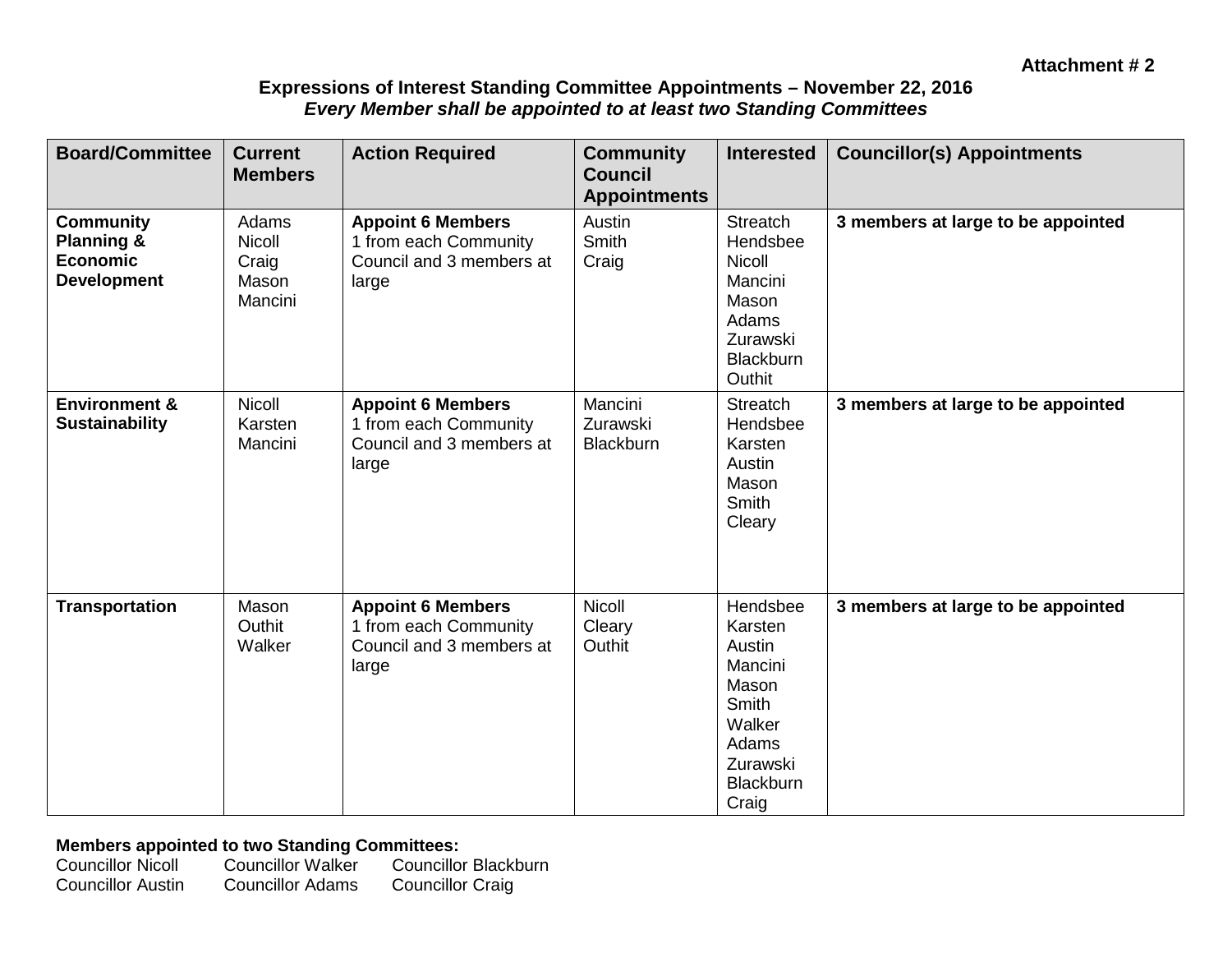### **Expressions of Interest Standing Committee Appointments – November 22, 2016**  *Every Member shall be appointed to at least two Standing Committees*

| <b>Board/Committee</b>                                                             | <b>Current</b><br><b>Members</b>                    | <b>Action Required</b>                                                                 | <b>Community</b><br><b>Council</b><br><b>Appointments</b> | <b>Interested</b>                                                                                                      | <b>Councillor(s) Appointments</b>  |
|------------------------------------------------------------------------------------|-----------------------------------------------------|----------------------------------------------------------------------------------------|-----------------------------------------------------------|------------------------------------------------------------------------------------------------------------------------|------------------------------------|
| <b>Community</b><br><b>Planning &amp;</b><br><b>Economic</b><br><b>Development</b> | Adams<br><b>Nicoll</b><br>Craig<br>Mason<br>Mancini | <b>Appoint 6 Members</b><br>1 from each Community<br>Council and 3 members at<br>large | Austin<br>Smith<br>Craig                                  | <b>Streatch</b><br>Hendsbee<br><b>Nicoll</b><br>Mancini<br>Mason<br>Adams<br>Zurawski<br><b>Blackburn</b><br>Outhit    | 3 members at large to be appointed |
| <b>Environment &amp;</b><br><b>Sustainability</b>                                  | <b>Nicoll</b><br>Karsten<br>Mancini                 | <b>Appoint 6 Members</b><br>1 from each Community<br>Council and 3 members at<br>large | Mancini<br>Zurawski<br><b>Blackburn</b>                   | Streatch<br>Hendsbee<br>Karsten<br>Austin<br>Mason<br><b>Smith</b><br>Cleary                                           | 3 members at large to be appointed |
| <b>Transportation</b>                                                              | Mason<br>Outhit<br>Walker                           | <b>Appoint 6 Members</b><br>1 from each Community<br>Council and 3 members at<br>large | Nicoll<br>Cleary<br>Outhit                                | Hendsbee<br>Karsten<br>Austin<br>Mancini<br>Mason<br>Smith<br>Walker<br>Adams<br>Zurawski<br><b>Blackburn</b><br>Craig | 3 members at large to be appointed |

# **Members appointed to two Standing Committees:**<br>Councillor Nicoll Councillor Walker Councillo

Councillor Nicoll Councillor Walker Councillor Blackburn<br>Councillor Austin Councillor Adams Councillor Craig **Councillor Craig**